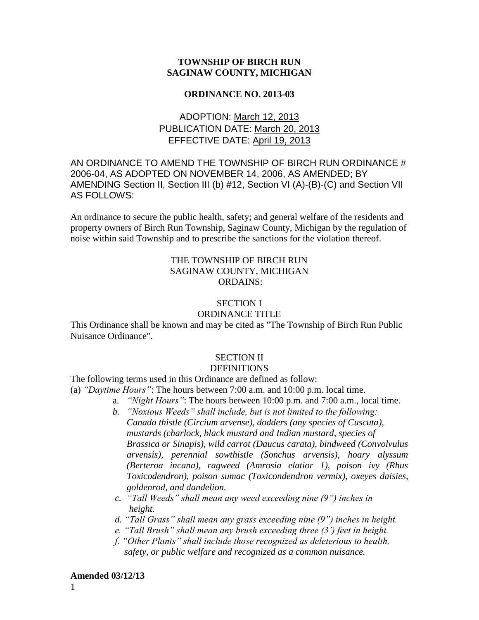## **TOWNSHIP OF BIRCH RUN SAGINAW COUNTY, MICHIGAN**

#### **ORDINANCE NO. 2013-03**

# ADOPTION: March 12, 2013 PUBLICATION DATE: March 20, 2013 EFFECTIVE DATE: April 19, 2013

## AN ORDINANCE TO AMEND THE TOWNSHIP OF BIRCH RUN ORDINANCE # 2006-04, AS ADOPTED ON NOVEMBER 14, 2006, AS AMENDED; BY AMENDING Section II, Section III (b) #12, Section VI (A)-(B)-(C) and Section VII AS FOLLOWS:

An ordinance to secure the public health, safety; and general welfare of the residents and property owners of Birch Run Township, Saginaw County, Michigan by the regulation of noise within said Township and to prescribe the sanctions for the violation thereof.

## THE TOWNSHIP OF BIRCH RUN SAGINAW COUNTY, MICHIGAN ORDAINS:

# SECTION I

### ORDINANCE TITLE

This Ordinance shall be known and may be cited as "The Township of Birch Run Public Nuisance Ordinance".

# SECTION II

### **DEFINITIONS**

The following terms used in this Ordinance are defined as follow:

(a) *"Daytime Hours"*: The hours between 7:00 a.m. and 10:00 p.m. local time.

- a. *"Night Hours"*: The hours between 10:00 p.m. and 7:00 a.m., local time.
- *b. "Noxious Weeds" shall include, but is not limited to the following: Canada thistle (Circium arvense), dodders (any species of Cuscuta), mustards (charlock, black mustard and Indian mustard, species of Brassica or Sinapis), wild carrot (Daucus carata), bindweed (Convolvulus arvensis), perennial sowthistle (Sonchus arvensis), hoary alyssum (Berteroa incana), ragweed (Amrosia elatior 1), poison ivy (Rhus Toxicodendron), poison sumac (Toxicondendron vermix), oxeyes daisies, goldenrod, and dandelion.*
- *c. "Tall Weeds" shall mean any weed exceeding nine (9") inches in height.*
- *d. "Tall Grass" shall mean any grass exceeding nine (9") inches in height.*
- *e. "Tall Brush" shall mean any brush exceeding three (3') feet in height.*
- *f. "Other Plants" shall include those recognized as deleterious to health, safety, or public welfare and recognized as a common nuisance.*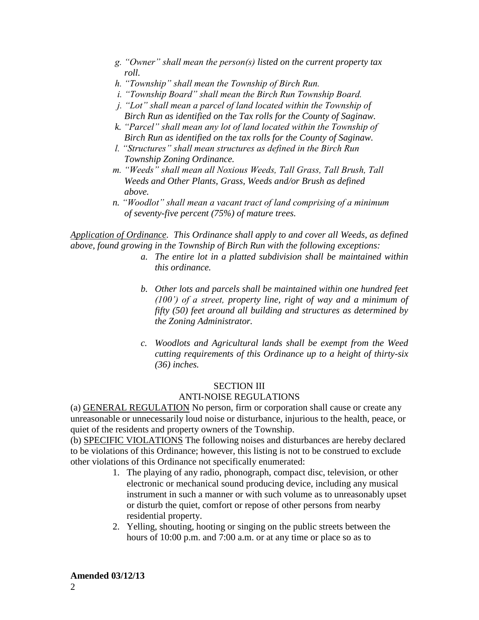- *g. "Owner" shall mean the person(s) listed on the current property tax roll.*
- *h. "Township" shall mean the Township of Birch Run.*
- *i. "Township Board" shall mean the Birch Run Township Board.*
- *j. "Lot" shall mean a parcel of land located within the Township of Birch Run as identified on the Tax rolls for the County of Saginaw.*
- *k. "Parcel" shall mean any lot of land located within the Township of Birch Run as identified on the tax rolls for the County of Saginaw.*
- *l. "Structures" shall mean structures as defined in the Birch Run Township Zoning Ordinance.*
- *m. "Weeds" shall mean all Noxious Weeds, Tall Grass, Tall Brush, Tall Weeds and Other Plants, Grass, Weeds and/or Brush as defined above.*
- *n. "Woodlot" shall mean a vacant tract of land comprising of a minimum of seventy-five percent (75%) of mature trees.*

*Application of Ordinance. This Ordinance shall apply to and cover all Weeds, as defined above, found growing in the Township of Birch Run with the following exceptions:* 

- *a. The entire lot in a platted subdivision shall be maintained within this ordinance.*
- *b. Other lots and parcels shall be maintained within one hundred feet (100') of a street, property line, right of way and a minimum of fifty (50) feet around all building and structures as determined by the Zoning Administrator.*
- *c. Woodlots and Agricultural lands shall be exempt from the Weed cutting requirements of this Ordinance up to a height of thirty-six (36) inches.*

### SECTION III ANTI-NOISE REGULATIONS

(a) GENERAL REGULATION No person, firm or corporation shall cause or create any unreasonable or unnecessarily loud noise or disturbance, injurious to the health, peace, or quiet of the residents and property owners of the Township.

(b) SPECIFIC VIOLATIONS The following noises and disturbances are hereby declared to be violations of this Ordinance; however, this listing is not to be construed to exclude other violations of this Ordinance not specifically enumerated:

- 1. The playing of any radio, phonograph, compact disc, television, or other electronic or mechanical sound producing device, including any musical instrument in such a manner or with such volume as to unreasonably upset or disturb the quiet, comfort or repose of other persons from nearby residential property.
- 2. Yelling, shouting, hooting or singing on the public streets between the hours of 10:00 p.m. and 7:00 a.m. or at any time or place so as to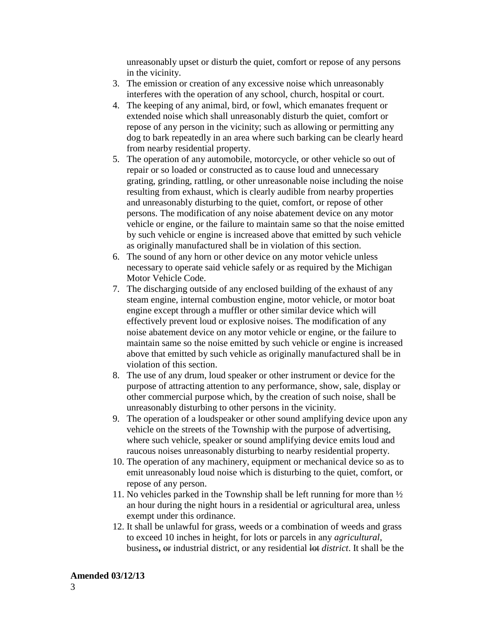unreasonably upset or disturb the quiet, comfort or repose of any persons in the vicinity.

- 3. The emission or creation of any excessive noise which unreasonably interferes with the operation of any school, church, hospital or court.
- 4. The keeping of any animal, bird, or fowl, which emanates frequent or extended noise which shall unreasonably disturb the quiet, comfort or repose of any person in the vicinity; such as allowing or permitting any dog to bark repeatedly in an area where such barking can be clearly heard from nearby residential property.
- 5. The operation of any automobile, motorcycle, or other vehicle so out of repair or so loaded or constructed as to cause loud and unnecessary grating, grinding, rattling, or other unreasonable noise including the noise resulting from exhaust, which is clearly audible from nearby properties and unreasonably disturbing to the quiet, comfort, or repose of other persons. The modification of any noise abatement device on any motor vehicle or engine, or the failure to maintain same so that the noise emitted by such vehicle or engine is increased above that emitted by such vehicle as originally manufactured shall be in violation of this section.
- 6. The sound of any horn or other device on any motor vehicle unless necessary to operate said vehicle safely or as required by the Michigan Motor Vehicle Code.
- 7. The discharging outside of any enclosed building of the exhaust of any steam engine, internal combustion engine, motor vehicle, or motor boat engine except through a muffler or other similar device which will effectively prevent loud or explosive noises. The modification of any noise abatement device on any motor vehicle or engine, or the failure to maintain same so the noise emitted by such vehicle or engine is increased above that emitted by such vehicle as originally manufactured shall be in violation of this section.
- 8. The use of any drum, loud speaker or other instrument or device for the purpose of attracting attention to any performance, show, sale, display or other commercial purpose which, by the creation of such noise, shall be unreasonably disturbing to other persons in the vicinity.
- 9. The operation of a loudspeaker or other sound amplifying device upon any vehicle on the streets of the Township with the purpose of advertising, where such vehicle, speaker or sound amplifying device emits loud and raucous noises unreasonably disturbing to nearby residential property.
- 10. The operation of any machinery, equipment or mechanical device so as to emit unreasonably loud noise which is disturbing to the quiet, comfort, or repose of any person.
- 11. No vehicles parked in the Township shall be left running for more than  $\frac{1}{2}$ an hour during the night hours in a residential or agricultural area, unless exempt under this ordinance.
- 12. It shall be unlawful for grass, weeds or a combination of weeds and grass to exceed 10 inches in height, for lots or parcels in any *agricultural,* business**,** or industrial district, or any residential lot *district*. It shall be the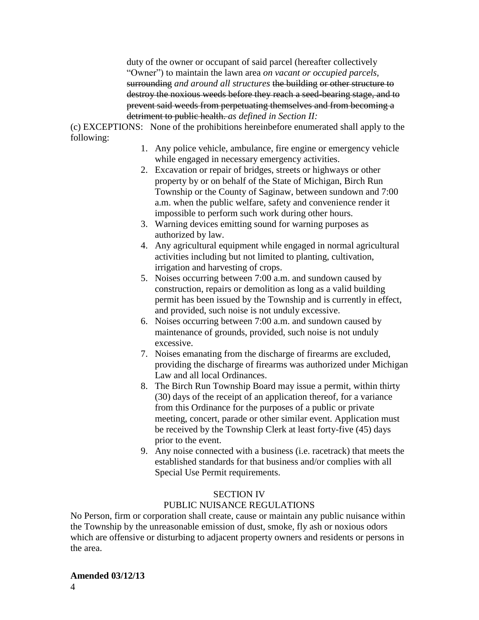duty of the owner or occupant of said parcel (hereafter collectively "Owner") to maintain the lawn area *on vacant or occupied parcels,* surrounding *and around all structures* the building or other structure to destroy the noxious weeds before they reach a seed-bearing stage, and to prevent said weeds from perpetuating themselves and from becoming a detriment to public health. *as defined in Section II:*

(c) EXCEPTIONS: None of the prohibitions hereinbefore enumerated shall apply to the following:

- 1. Any police vehicle, ambulance, fire engine or emergency vehicle while engaged in necessary emergency activities.
- 2. Excavation or repair of bridges, streets or highways or other property by or on behalf of the State of Michigan, Birch Run Township or the County of Saginaw, between sundown and 7:00 a.m. when the public welfare, safety and convenience render it impossible to perform such work during other hours.
- 3. Warning devices emitting sound for warning purposes as authorized by law.
- 4. Any agricultural equipment while engaged in normal agricultural activities including but not limited to planting, cultivation, irrigation and harvesting of crops.
- 5. Noises occurring between 7:00 a.m. and sundown caused by construction, repairs or demolition as long as a valid building permit has been issued by the Township and is currently in effect, and provided, such noise is not unduly excessive.
- 6. Noises occurring between 7:00 a.m. and sundown caused by maintenance of grounds, provided, such noise is not unduly excessive.
- 7. Noises emanating from the discharge of firearms are excluded, providing the discharge of firearms was authorized under Michigan Law and all local Ordinances.
- 8. The Birch Run Township Board may issue a permit, within thirty (30) days of the receipt of an application thereof, for a variance from this Ordinance for the purposes of a public or private meeting, concert, parade or other similar event. Application must be received by the Township Clerk at least forty-five (45) days prior to the event.
- 9. Any noise connected with a business (i.e. racetrack) that meets the established standards for that business and/or complies with all Special Use Permit requirements.

# SECTION IV

# PUBLIC NUISANCE REGULATIONS

No Person, firm or corporation shall create, cause or maintain any public nuisance within the Township by the unreasonable emission of dust, smoke, fly ash or noxious odors which are offensive or disturbing to adjacent property owners and residents or persons in the area.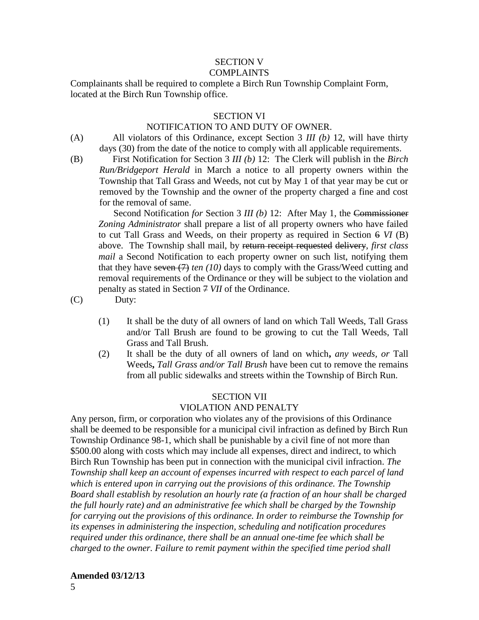# SECTION V

**COMPLAINTS** 

Complainants shall be required to complete a Birch Run Township Complaint Form, located at the Birch Run Township office.

## SECTION VI

### NOTIFICATION TO AND DUTY OF OWNER.

- (A) All violators of this Ordinance, except Section 3 *III (b)* 12, will have thirty days (30) from the date of the notice to comply with all applicable requirements.
- 

(B) First Notification for Section 3 *III (b)* 12: The Clerk will publish in the *Birch Run/Bridgeport Herald* in March a notice to all property owners within the Township that Tall Grass and Weeds, not cut by May 1 of that year may be cut or removed by the Township and the owner of the property charged a fine and cost for the removal of same.

 Second Notification *for* Section 3 *III (b)* 12: After May 1, the Commissioner *Zoning Administrator* shall prepare a list of all property owners who have failed to cut Tall Grass and Weeds, on their property as required in Section 6 *VI* (B) above. The Township shall mail, by return receipt requested delivery, *first class mail* a Second Notification to each property owner on such list, notifying them that they have seven (7) *ten (10)* days to comply with the Grass/Weed cutting and removal requirements of the Ordinance or they will be subject to the violation and penalty as stated in Section 7 *VII* of the Ordinance.

(C) Duty:

- (1) It shall be the duty of all owners of land on which Tall Weeds, Tall Grass and/or Tall Brush are found to be growing to cut the Tall Weeds, Tall Grass and Tall Brush.
- (2) It shall be the duty of all owners of land on which**,** *any weeds, or* Tall Weeds**,** *Tall Grass and/or Tall Brush* have been cut to remove the remains from all public sidewalks and streets within the Township of Birch Run.

### SECTION VII

## VIOLATION AND PENALTY

Any person, firm, or corporation who violates any of the provisions of this Ordinance shall be deemed to be responsible for a municipal civil infraction as defined by Birch Run Township Ordinance 98-1, which shall be punishable by a civil fine of not more than \$500.00 along with costs which may include all expenses, direct and indirect, to which Birch Run Township has been put in connection with the municipal civil infraction. *The Township shall keep an account of expenses incurred with respect to each parcel of land which is entered upon in carrying out the provisions of this ordinance. The Township Board shall establish by resolution an hourly rate (a fraction of an hour shall be charged the full hourly rate) and an administrative fee which shall be charged by the Township for carrying out the provisions of this ordinance. In order to reimburse the Township for its expenses in administering the inspection, scheduling and notification procedures required under this ordinance, there shall be an annual one-time fee which shall be charged to the owner. Failure to remit payment within the specified time period shall* 

### **Amended 03/12/13**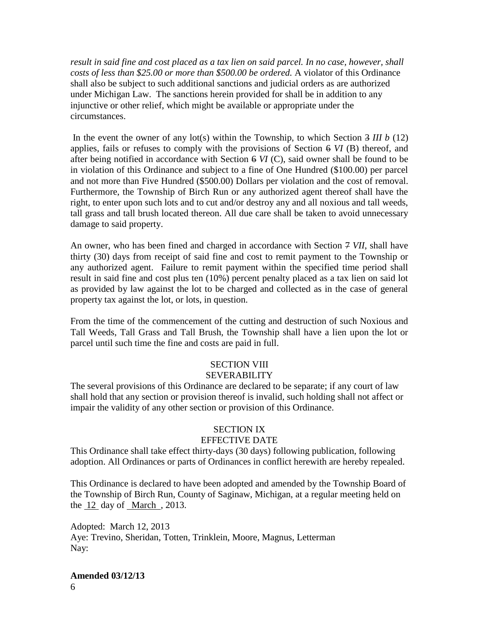*result in said fine and cost placed as a tax lien on said parcel. In no case, however, shall costs of less than \$25.00 or more than \$500.00 be ordered.* A violator of this Ordinance shall also be subject to such additional sanctions and judicial orders as are authorized under Michigan Law. The sanctions herein provided for shall be in addition to any injunctive or other relief, which might be available or appropriate under the circumstances.

In the event the owner of any lot(s) within the Township, to which Section 3 *III b* (12) applies, fails or refuses to comply with the provisions of Section 6 *VI* (B) thereof, and after being notified in accordance with Section 6 *VI* (C), said owner shall be found to be in violation of this Ordinance and subject to a fine of One Hundred (\$100.00) per parcel and not more than Five Hundred (\$500.00) Dollars per violation and the cost of removal. Furthermore, the Township of Birch Run or any authorized agent thereof shall have the right, to enter upon such lots and to cut and/or destroy any and all noxious and tall weeds, tall grass and tall brush located thereon. All due care shall be taken to avoid unnecessary damage to said property.

An owner, who has been fined and charged in accordance with Section 7 *VII*, shall have thirty (30) days from receipt of said fine and cost to remit payment to the Township or any authorized agent. Failure to remit payment within the specified time period shall result in said fine and cost plus ten (10%) percent penalty placed as a tax lien on said lot as provided by law against the lot to be charged and collected as in the case of general property tax against the lot, or lots, in question.

From the time of the commencement of the cutting and destruction of such Noxious and Tall Weeds, Tall Grass and Tall Brush, the Township shall have a lien upon the lot or parcel until such time the fine and costs are paid in full.

# SECTION VIII SEVERABILITY

The several provisions of this Ordinance are declared to be separate; if any court of law shall hold that any section or provision thereof is invalid, such holding shall not affect or impair the validity of any other section or provision of this Ordinance.

# SECTION IX

# EFFECTIVE DATE

This Ordinance shall take effect thirty-days (30 days) following publication, following adoption. All Ordinances or parts of Ordinances in conflict herewith are hereby repealed.

This Ordinance is declared to have been adopted and amended by the Township Board of the Township of Birch Run, County of Saginaw, Michigan, at a regular meeting held on the 12 day of March , 2013.

Adopted: March 12, 2013 Aye: Trevino, Sheridan, Totten, Trinklein, Moore, Magnus, Letterman Nay: